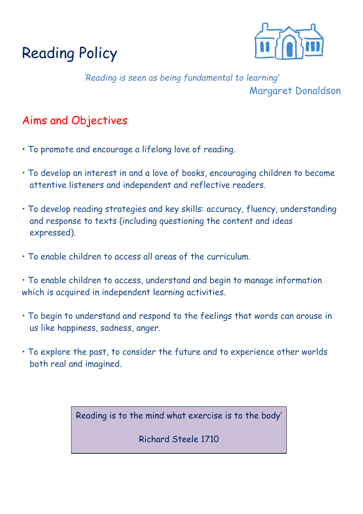



*'Reading is seen as being fundamental to learning'* Margaret Donaldson

## Aims and Objectives

- To promote and encourage a lifelong love of reading.
- To develop an interest in and a love of books, encouraging children to become attentive listeners and independent and reflective readers.
- To develop reading strategies and key skills: accuracy, fluency, understanding and response to texts (including questioning the content and ideas expressed).
- To enable children to access all areas of the curriculum.

• To enable children to access, understand and begin to manage information which is acquired in independent learning activities.

- To begin to understand and respond to the feelings that words can arouse in us like happiness, sadness, anger.
- To explore the past, to consider the future and to experience other worlds both real and imagined.

Reading is to the mind what exercise is to the body'

Richard Steele 1710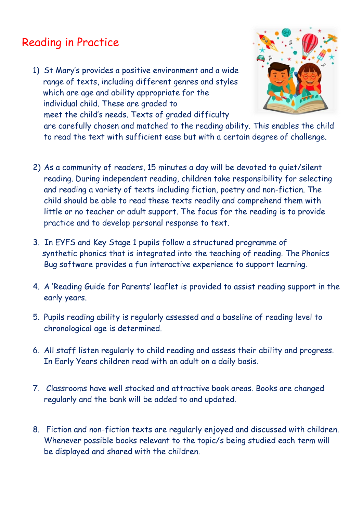## Reading in Practice

1) St Mary's provides a positive environment and a wide range of texts, including different genres and styles which are age and ability appropriate for the individual child. These are graded to meet the child's needs. Texts of graded difficulty



are carefully chosen and matched to the reading ability. This enables the child to read the text with sufficient ease but with a certain degree of challenge.

- 2) As a community of readers, 15 minutes a day will be devoted to quiet/silent reading. During independent reading, children take responsibility for selecting and reading a variety of texts including fiction, poetry and non-fiction. The child should be able to read these texts readily and comprehend them with little or no teacher or adult support. The focus for the reading is to provide practice and to develop personal response to text.
- 3. In EYFS and Key Stage 1 pupils follow a structured programme of synthetic phonics that is integrated into the teaching of reading. The Phonics Bug software provides a fun interactive experience to support learning.
- 4. A 'Reading Guide for Parents' leaflet is provided to assist reading support in the early years.
- 5. Pupils reading ability is regularly assessed and a baseline of reading level to chronological age is determined.
- 6. All staff listen regularly to child reading and assess their ability and progress. In Early Years children read with an adult on a daily basis.
- 7. Classrooms have well stocked and attractive book areas. Books are changed regularly and the bank will be added to and updated.
- 8. Fiction and non-fiction texts are regularly enjoyed and discussed with children. Whenever possible books relevant to the topic/s being studied each term will be displayed and shared with the children.